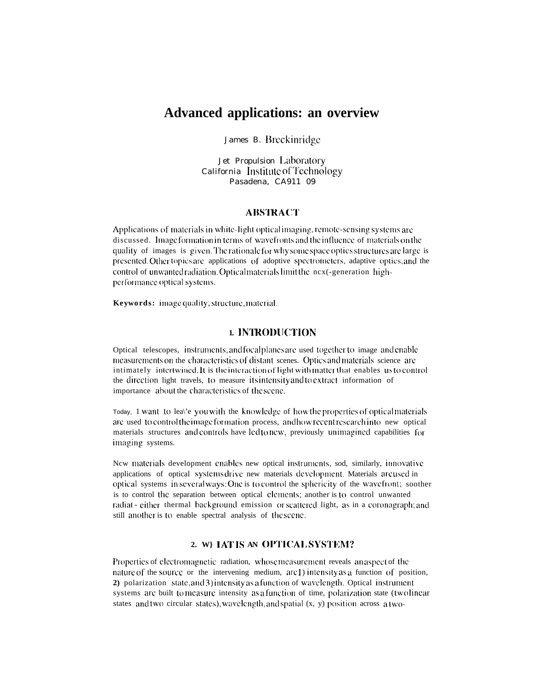# **Advanced applications: an overview**

James B. Breckinridge

Jet Propulsion Laboratory California Institute of Technology Pasadena. CA911 09

#### **ABSTRACT**

Applications of materials in white-light optical imaging, remote-sensing systems are discussed. Image formation in terms of wavefronts and the influence of materials on the quality of images is given. The rationale for why some space optics structures are large is presented. Other topics are applications of adoptive spectrometers, adaptive optics, and the control of unwanted radiation. Optical materials limit the nex (-generation highperformance optical systems.

**Keywords:** image quality, structure, material.

## 1. INTRODUCTION

Optical telescopes, instruments, and focal planes are used together to image and enable measurements on the characteristics of distant scenes. Optics and materials science are intimately intertwined. It is the interaction of light with matter that enables us to control the direction light travels, to measure its intensity and to extract information of importance about the characteristics of the scene.

Today, 1 want to lea\'e you with the knowledge of how the properties of optical materials are used to control the image formation process, and how recent research into new optical materials structures and controls have led to new, previously unimagined capabilities for imaging systems.

New materials development enables new optical instruments, sod, similarly, innovative applications of optical systems drive new materials development. Materials are used in optical systems in several ways: One is to control the sphericity of the wavefront; soother is to control the separation between optical elements; another is to control unwanted radiat - either thermal background emission or scattered light, as in a coronagraph; and still another is to enable spectral analysis of the scene.

# 2. WEIAT IS AN OPTICAL SYSTEM?

Properties of electromagnetic radiation, whose measurement reveals an aspect of the nature of the source or the intervening medium, are 1) intensity as a function of position, **2**) polarization state, and 3) intensity as a function of wavelength. Optical instrument systems are built to measure intensity as a function of time, polarization state (two linear states and two circular states), wavelength, and spatial (x, y) position across a two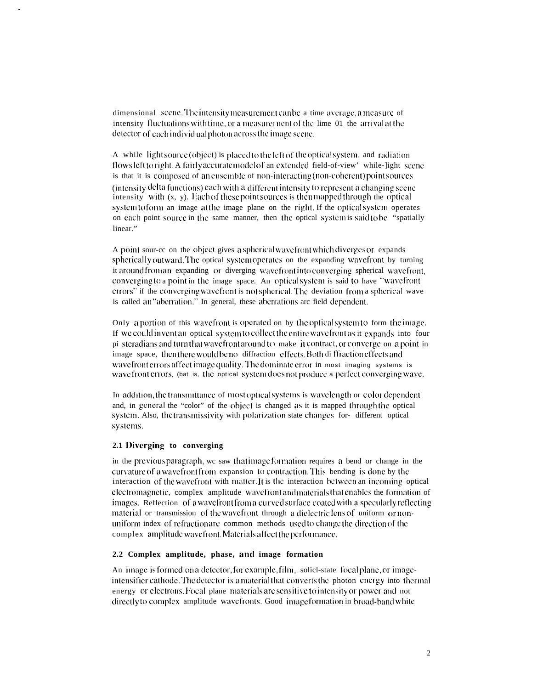dimensional scene. The intensity measurement can be a time average, a measure of intensity fluctuations with time, or a measurement of the lime 01 the arrival at the detector of each individual photon across the image scene.

A while light source (object) is placed to the left of the optical system, and radiation flows left to right. A fairly accurate model of an extended field-of-view' while-light scene is that it is composed of an ensemble of non-interacting (non-coherent) point sources (intensity delta functions) each with a different intensity to represent a changing scene intensity with  $(x, y)$ . Each of these point sources is then mapped through the optical system to form an image at the image plane on the right. If the optical system operates on each point source in the same manner, then the optical system is said to be "spatially linear."

A point sour-ce on the object gives a spherical wavefront which diverges or expands spherically outward. The optical system operates on the expanding wavefront by turning it around from an expanding or diverging wavefront into converging spherical wavefront, converging to a point in the image space. An optical system is said to have "wavefront errors" if the converging wavefront is not spherical. The deviation from a spherical wave is called an "aberration." In general, these aberrations are field dependent.

Only a portion of this wavefront is operated on by the optical system to form the image. If we could invent an optical system to collect the entire wavefront as it expands into four pi steradians and turn that wavefront around to make it contract, or converge on a point in image space, then there would be no diffraction effects. Both diffraction effects and wavefront errors affect image quality. The dominate error in most imaging systems is wave front errors, (bat is, the optical system does not produce a perfect converging wave.

In addition, the transmittance of most optical systems is wavelength or color dependent and, in general the "color" of the object is changed as it is mapped through the optical system. Also, the transmissivity with polarization state changes for-different optical systems.

#### 2.1 Diverging to converging

in the previous paragraph, we saw that image formation requires a bend or change in the curvature of a wavefront from expansion to contraction. This bending is done by the interaction of the wavefront with matter. It is the interaction between an incoming optical electromagnetic, complex amplitude wavefront and materials that enables the formation of images. Reflection of a wavefront from a curved surface coated with a specularly reflecting material or transmission of the wavefront through a dielectriclens of uniform or nonuniform index of refractionare common methods used to change the direction of the complex amplitude wavefront. Materials affect the performance.

### 2.2 Complex amplitude, phase, and image formation

An image is formed on a detector, for example, film, solicl-state focal plane, or imageintensifier cathode. The detector is a material that converts the photon energy into thermal energy or electrons. Focal plane materials are sensitive to intensity or power and not directly to complex amplitude wavefronts. Good image formation in broad-band white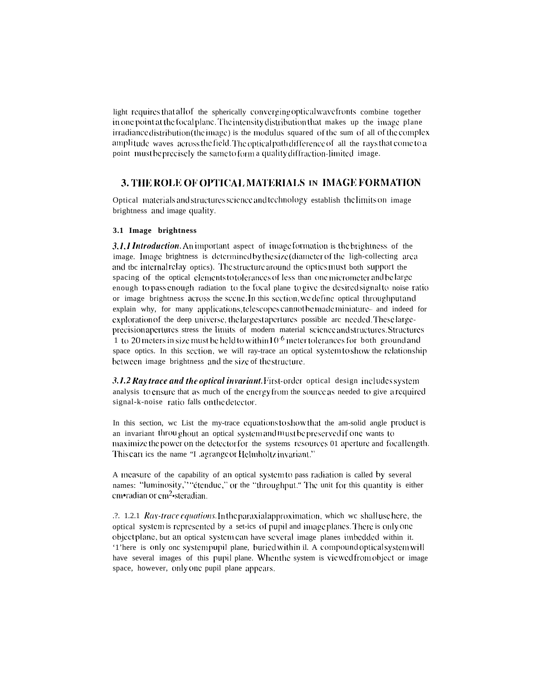light requires that all of the spherically converging optical wavefronts combine together in one point at the focal plane. The intensity distribution that makes up the image plane irradiance distribution (the image) is the modulus squared of the sum of all of the complex amplitude waves across the field. The optical path difference of all the rays that come to a point must be precisely the same to form a quality diffraction-limited image.

# 3. THE ROLE OF OPTICAL MATERIALS IN IMAGE FORMATION

Optical materials and structures science and technology establish the limits on image brightness and image quality.

### 3.1 Image brightness

3.1.1 Introduction. An important aspect of image formation is the brightness of the image. Image brightness is determined by the size (diameter of the ligh-collecting area and tbc internal relay optics). The structure around the optics must both support the spacing of the optical elements to tolerances of less than one micrometer and be large enough to pass enough radiation to the focal plane to give the desired signal to noise ratio or image brightness across the scene. In this section, we define optical throughput and explain why, for many applications, telescopes cannot be made miniature- and indeed for exploration of the deep universe, the largest apertures possible are needed. These largeprecision apertures stress the limits of modern material science and structures. Structures 1 to 20 meters in size must be held to within  $10^{-6}$  meter tolerances for both ground and space optics. In this section, we will ray-trace an optical system to show the relationship between image brightness and the size of the structure.

3.1.2 Ray trace and the optical invariant. First-order optical design includes system analysis to ensure that as much of the energy from the source as needed to give a required signal-k-noise ratio falls on the detector.

In this section, we List the my-trace equations to show that the am-solid angle product is an invariant throughout an optical system and must be preserved if one wants to maximize the power on the detector for the systems resources 01 aperture and focallength. This carries the name "Lagrange or Helmholtz invariant."

A measure of the capability of an optical system to pass radiation is called by several names: "luminosity," "étendue," or the "throughput." The unit for this quantity is either cm•radian or cm<sup>2</sup>•steradian.

.2. 1.2.1 Ray-trace equations. In the paraxial approximation, which we shall use here, the optical system is represented by a set-ics of pupil and imageplanes. There is only one object plane, but an optical system can have several image planes imbedded within it. '1'here is only one systempupil plane, buried within il. A compound optical system will have several images of this pupil plane. When the system is viewed from object or image space, however, only one pupil plane appears.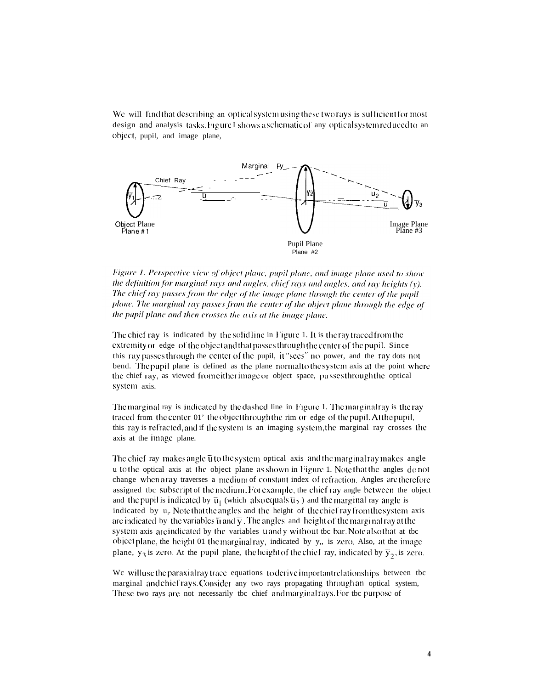We will find that describing an optical system using these two rays is sufficient for most design and analysis tasks. Figure I shows a schematic of any optical system reduced to an object, pupil, and image plane,



Figure 1. Perspective view of object plane, pupil plane, and image plane used to show the definition for marginal rays and angles, chief rays and angles, and ray heights (y). The chief ray passes from the edge of the image plane through the center of the pupil plane. The marginal ray passes from the center of the object plane through the edge of the pupil plane and then crosses the axis at the image plane.

The chief ray is indicated by the solid line in Figure 1. It is the ray traced from the extremity or edge of the object and that passes through the center of the pupil. Since this ray passes through the center of the pupil, it "sees" no power, and the ray dots not bend. The pupil plane is defined as the plane normal to the system axis at the point where the chief ray, as viewed from either image or object space, passes through the optical system axis.

The marginal ray is indicated by the dashed line in Figure 1. The marginal ray is the ray traced from the center 01' the object through the rim or edge of the pupil. At the pupil, this ray is refracted, and if the system is an imaging system, the marginal ray crosses the axis at the image plane.

The chief ray makes angle  $\bar{u}$  to the system optical axis and the marginal ray makes angle u to the optical axis at the object plane as shown in Figure 1. Note that the angles do not change when a ray traverses a medium of constant index of refraction. Angles are therefore assigned tbc subscript of the medium. For example, the chief ray angle between the object and the pupil is indicated by  $\bar{u}_1$  (which also equals  $\bar{u}_2$ ) and the marginal ray angle is indicated by u<sub>i</sub>. Note that the angles and the height of the chief ray from the system axis are indicated by the variables  $\overline{u}$  and  $\overline{y}$ . The angles and height of the marginal ray at the system axis are indicated by the variables uandy without tbc bar. Note also that at tbc object plane, the height 01 the marginal ray, indicated by y,, is zero. Also, at the image plane,  $y_3$  is zero. At the pupil plane, the height of the chief ray, indicated by  $\bar{y}_2$ , is zero.

We will use the paraxial ray trace equations to derive important relationships between the marginal and chief rays. Consider any two rays propagating through an optical system, These two rays are not necessarily tbc chief and marginal rays. For tbc purpose of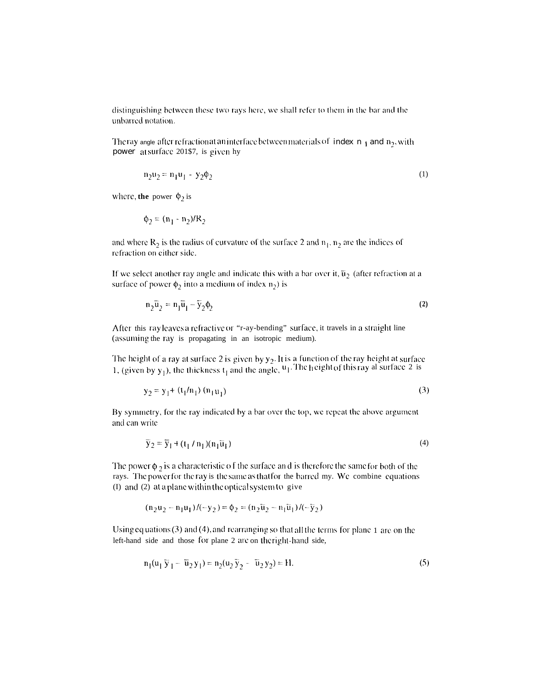distinguishing between these two rays here, we shall refer to them in the bar and the unbarred notation.

The ray angle after refraction at an interface between materials of index  $n_1$  and  $n_2$ , with power at surface 201\$7, is given hy

$$
n_2 u_2 = n_1 u_1 - y_2 \phi_2 \tag{1}
$$

where, **the** power  $\phi_2$  is

$$
\phi_2 = (n_1 - n_2)/R_2
$$

and where  $R_2$  is the radius of curvature of the surface 2 and  $n_1$ ,  $n_2$  are the indices of refraction on either side.

If we select another ray angle and indicate this with a bar over it,  $\overline{u}_2$  (after refraction at a surface of power  $\phi_2$  into a medium of index  $n_2$ ) is

$$
n_2\overline{u}_2 = n_1\overline{u}_1 - \overline{y}_2\phi_2
$$
 (2)

After this ray leaves a refractive or "r-ay-bending" surface, it travels in a straight line (assuming the ray is propagating in an isotropic medium).

The height of a ray at surface 2 is given by  $y_2$ . It is a function of the ray height at surface 1, (given by  $y_1$ ), the thickness  $t_1$  and the angle,  $u_1$ . The height of this ray al surface 2 is

$$
y_2 = y_1 + (t_1/n_1) (n_1 u_1)
$$
 (3)

By symmetry, for the ray indicated by a bar over the top, we repeat the above argument and can write

$$
\overline{y}_2 = \overline{y}_1 + (t_1/n_1)(n_1\overline{u}_1) \tag{4}
$$

The power  $\phi_2$  is a characteristic of the surface and is therefore the same for both of the rays. The power for the ray is the same as that for the barred my. We combine equations (I) and (2) at a plane within the optical system to give

$$
(n_2u_2 - n_1u_1)/(-y_2) = \phi_2 = (n_2\overline{u}_2 - n_1\overline{u}_1)/(-\overline{y}_2)
$$

Using equations  $(3)$  and  $(4)$ , and rearranging so that all the terms for plane 1 are on the left-hand side and those for plane 2 are on the right-hand side,

$$
n_1(u_1 \bar{y}_1 - \bar{u}_2 y_1) = n_2(u_2 \bar{y}_2 - \bar{u}_2 y_2) = H.
$$
 (5)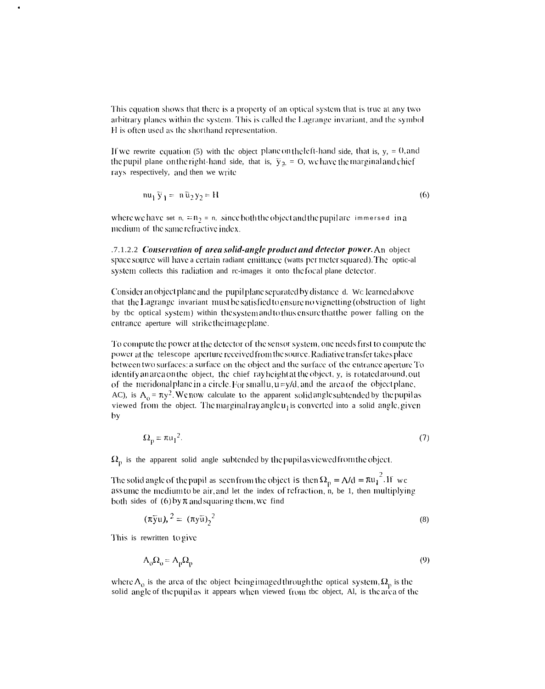This equation shows that there is a property of an optical system that is true at any two arbitrary planes within the system. This is called the Lagrange invariant, and the symbol H is often used as the shorthand representation.

If we rewrite equation (5) with the object plane on the left-hand side, that is,  $y_1 = 0$ , and the pupil plane on the right-hand side, that is,  $\bar{y}_2 = 0$ , we have the marginal and chief rays respectively, and then we write

$$
nu_1 \overline{y}_1 = n \overline{u}_2 y_2 = H \tag{6}
$$

where we have set n,  $\mp n_2 = n$ , since both the object and the pupil are immersed in a medium of the same refractive index.

.7.1.2.2 Conservation of area solid-angle product and detector power. An object space source will have a certain radiant emittance (watts per meter squared). The optic-al system collects this radiation and re-images it onto the focal plane detector.

Consider an object plane and the pupil plane separated by distance d. We learned above that the Lagrange invariant must be satisfied to ensure no vignetting (obstruction of light by tbc optical system) within the system and to thus ensure that the power falling on the entrance aperture will strike the image plane.

To compute the power at the detector of the sensor system, one needs first to compute the power at the telescope aperture received from the source. Radiative transfer takes place between two surfaces: a surface on the object and the surface of the entrance aperture To identify an area on the object, the chief ray height at the object, y, is rotated around, out of the meridonal plane in a circle. For small  $u, u = y/d$ , and the area of the object plane, AC), is  $A_0 = \pi y^2$ . We now calculate to the apparent solid angle subtended by the pupil as viewed from the object. The marginal ray angle u<sub>1</sub> is converted into a solid angle, given by

$$
\Omega_p = \pi u_1^2. \tag{7}
$$

 $\Omega_{\text{n}}$  is the apparent solid angle subtended by the pupil as viewed from the object.

The solid angle of the pupil as seen from the object is then  $\Omega_p = A/d = \pi u_1^2$ . If we assume the medium to be air, and let the index of refraction, n, be 1, then multiplying both sides of  $(6)$  by  $\pi$  and squaring them, we find

$$
(\pi \bar{y}u),^2 = (\pi y \bar{u})^2
$$
 (8)

This is rewritten to give

$$
A_0 \Omega_0 = A_p \Omega_p \tag{9}
$$

where  $A_0$  is the area of the object being imaged through the optical system,  $\Omega_p$  is the solid angle of the pupil as it appears when viewed from the object, Al, is the area of the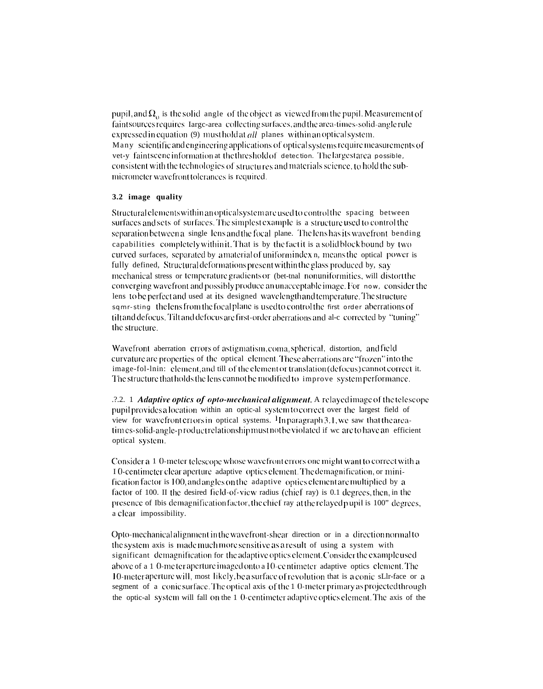pupil, and  $\Omega_0$  is the solid angle of the object as viewed from the pupil. Measurement of faint sources requires Iarge-area collecting surfaces, and the area-times-solid-angle rule expressed in equation  $(9)$  must hold at *all* planes within an optical system. Many scientific and engineering applications of optical systems require measurements of vet-y faint scene information at the threshold of detection. The largest area possible, consistent with the technologies of structures and materials science, to hold the submicrometer wavefront tolerances is required.

### 3.2 image quality

Structural elements within an optical system are used to control the spacing between surfaces and sets of surfaces. The simplest example is a structure used to control the separation between a single lens and the focal plane. The lens has its wavefront bending capabilities completely within it. That is by the fact it is a solid block bound by two curved surfaces, separated by a material of uniform index n, means the optical power is fully defined, Structural deformations present within the glass produced by, say mechanical stress or temperature gradients or (bet-thal nonuniformities, will distort the converging wavefront and possibly produce an unacceptable image. For now, consider the lens to be perfect and used at its designed wavelength and temperature. The structure sqmr-sting the lens from the focal plane is used to control the first order aberrations of tilt and defocus. Tilt and defocus are first-order aberrations and al-c corrected by "tuning" the structure.

Wavefront aberration errors of astigmatism, coma, spherical, distortion, and field curvature are properties of the optical element. These aberrations are "frozen" into the image-fol-lnin: element, and till of the element or translation (defocus) cannot correct it. The structure that holds the lens cannot be modified to improve system performance.

2.2. 1 Adaptive optics of opto-mechanical alignment. A relayed image of the telescope pupil provides a location within an optic-al system to correct over the largest field of view for wavefront errors in optical systems. <sup>H</sup>Inparagraph 3.1, we saw that the areatimes-solid-angle-productrelationshipmustnotbe violated if we are to have an efficient optical system.

Consider a 1 0-meter telescope whose wavefront errors one might want to correct with a I 0-centimeter clear aperture adaptive optics element. The demagnification, or minification factor is 100, and angles on the adaptive optics element are multiplied by a factor of 100. II the desired field-of-view radius (chief ray) is 0.1 degrees, then, in the presence of Ibis demagnification factor, the chief ray at the relayed pupil is 100" degrees, a clear impossibility.

Opto-mechanical alignment in the wavefront-shear direction or in a direction normal to the system axis is made much more sensitive as a result of using a system with significant demagnification for the adaptive optics element. Consider the example used above of a 1-0-me ter aperture imaged onto a 10-centimeter adaptive optics element. The 10-meter aperture will, most likely, be a surface of revolution that is a conic sLI-face or a segment of a conic surface. The optical axis of the 1 0-meter primary as projected through the optic-al system will fall on the 1 0-centimeter adaptive optics element. The axis of the